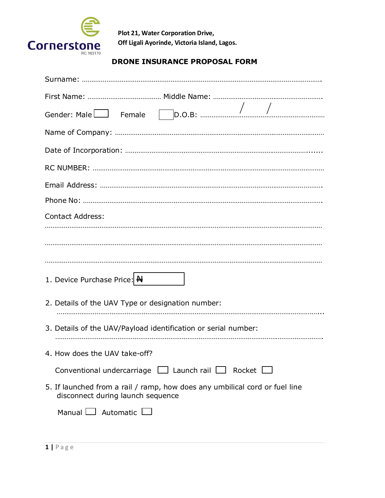

## **DRONE INSURANCE PROPOSAL FORM**

| <b>Contact Address:</b>                                                                                          |
|------------------------------------------------------------------------------------------------------------------|
|                                                                                                                  |
|                                                                                                                  |
|                                                                                                                  |
| 1. Device Purchase Price: H                                                                                      |
| 2. Details of the UAV Type or designation number:                                                                |
|                                                                                                                  |
| 3. Details of the UAV/Payload identification or serial number:                                                   |
| 4. How does the UAV take-off?                                                                                    |
| Conventional undercarriage $\Box$ Launch rail $\Box$ Rocket $\Box$                                               |
| 5. If launched from a rail / ramp, how does any umbilical cord or fuel line<br>disconnect during launch sequence |
| Manual $\Box$ Automatic $\Box$                                                                                   |
|                                                                                                                  |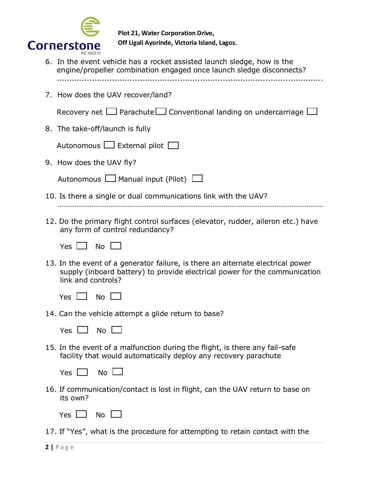

- 6. In the event vehicle has a rocket assisted launch sledge, how is the engine/propeller combination engaged once launch sledge disconnects? ..........................................................................................................
- 7. How does the UAV recover/land?

Recovery net  $\Box$  Parachute  $\Box$  Conventional landing on undercarriage  $\Box$ 

8. The take-off/launch is fully

|  | Autonomous $\Box$ External pilot $\Box$ |  |  |  |
|--|-----------------------------------------|--|--|--|
|--|-----------------------------------------|--|--|--|

9. How does the UAV fly?

| Autonomous $\Box$ Manual input (Pilot) $\Box$ |  |
|-----------------------------------------------|--|
|-----------------------------------------------|--|

- 10. Is there a single or dual communications link with the UAV? ……………………………………………………………………………………………………………………………
- 12. Do the primary flight control surfaces (elevator, rudder, aileron etc.) have any form of control redundancy?

|  | ٦o |
|--|----|
|--|----|

13. In the event of a generator failure, is there an alternate electrical power supply (inboard battery) to provide electrical power for the communication link and controls?

14. Can the vehicle attempt a glide return to base?

|  |  | G |  |
|--|--|---|--|
|--|--|---|--|

15. In the event of a malfunction during the flight, is there any fail-safe facility that would automatically deploy any recovery parachute

| ., | No |
|----|----|
|----|----|

16. If communication/contact is lost in flight, can the UAV return to base on its own?

| ۱.<br>-- | N٥ |  |
|----------|----|--|
|----------|----|--|

17. If "Yes", what is the procedure for attempting to retain contact with the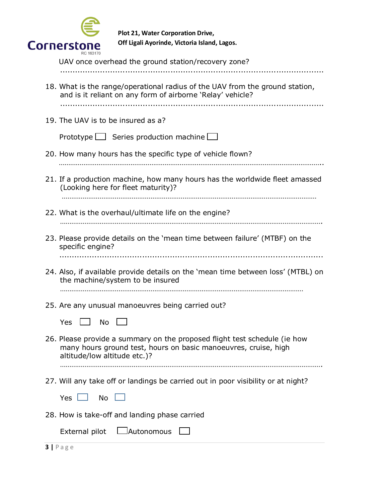

| UAV once overhead the ground station/recovery zone?                                                                                                                          |
|------------------------------------------------------------------------------------------------------------------------------------------------------------------------------|
| 18. What is the range/operational radius of the UAV from the ground station,<br>and is it reliant on any form of airborne 'Relay' vehicle?                                   |
| 19. The UAV is to be insured as a?                                                                                                                                           |
| Prototype $\Box$ Series production machine $\Box$                                                                                                                            |
| 20. How many hours has the specific type of vehicle flown?                                                                                                                   |
| 21. If a production machine, how many hours has the worldwide fleet amassed<br>(Looking here for fleet maturity)?                                                            |
| 22. What is the overhaul/ultimate life on the engine?                                                                                                                        |
| 23. Please provide details on the 'mean time between failure' (MTBF) on the<br>specific engine?                                                                              |
| 24. Also, if available provide details on the 'mean time between loss' (MTBL) on<br>the machine/system to be insured                                                         |
| 25. Are any unusual manoeuvres being carried out?<br><b>Yes</b><br>- No                                                                                                      |
| 26. Please provide a summary on the proposed flight test schedule (ie how<br>many hours ground test, hours on basic manoeuvres, cruise, high<br>altitude/low altitude etc.)? |
| 27. Will any take off or landings be carried out in poor visibility or at night?                                                                                             |
| No L<br>Yes $\mathsf{\mathsf{L}}$                                                                                                                                            |
| 28. How is take-off and landing phase carried                                                                                                                                |
| <b>Lautonomous</b><br>External pilot                                                                                                                                         |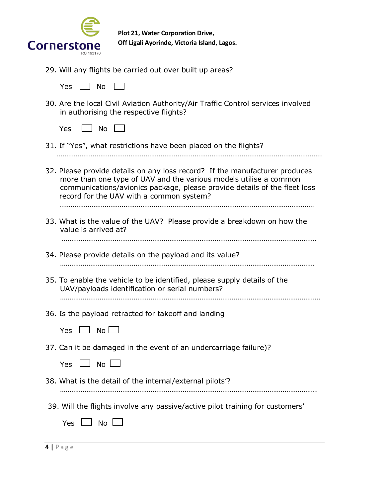

29. Will any flights be carried out over built up areas?

| ٠ |  | -<br>Ι |  |
|---|--|--------|--|
|---|--|--------|--|

30. Are the local Civil Aviation Authority/Air Traffic Control services involved in authorising the respective flights?

| ۰. | ∩ו |  |
|----|----|--|
|----|----|--|

31. If "Yes", what restrictions have been placed on the flights?

……………………………………………………………………………………………………………………………

32. Please provide details on any loss record? If the manufacturer produces more than one type of UAV and the various models utilise a common communications/avionics package, please provide details of the fleet loss record for the UAV with a common system?

………………………………………………………………………………………………………………………

33. What is the value of the UAV? Please provide a breakdown on how the value is arrived at?

………………………………………………………………………………………………………………………

- 34. Please provide details on the payload and its value? ………………………………………………………………………………………………………………………
- 35. To enable the vehicle to be identified, please supply details of the UAV/payloads identification or serial numbers? …………………………………………………………………………………………………………………………
- 36. Is the payload retracted for takeoff and landing
	- $Yes \Box No \Box$
- 37. Can it be damaged in the event of an undercarriage failure)?

|  |  | ง∩ |  |
|--|--|----|--|
|--|--|----|--|

- 38. What is the detail of the internal/external pilots'?
- ……………………………………………………………………………………………………………………….
- 39. Will the flights involve any passive/active pilot training for customers'
	- Yes  $\Box$  No  $\Box$